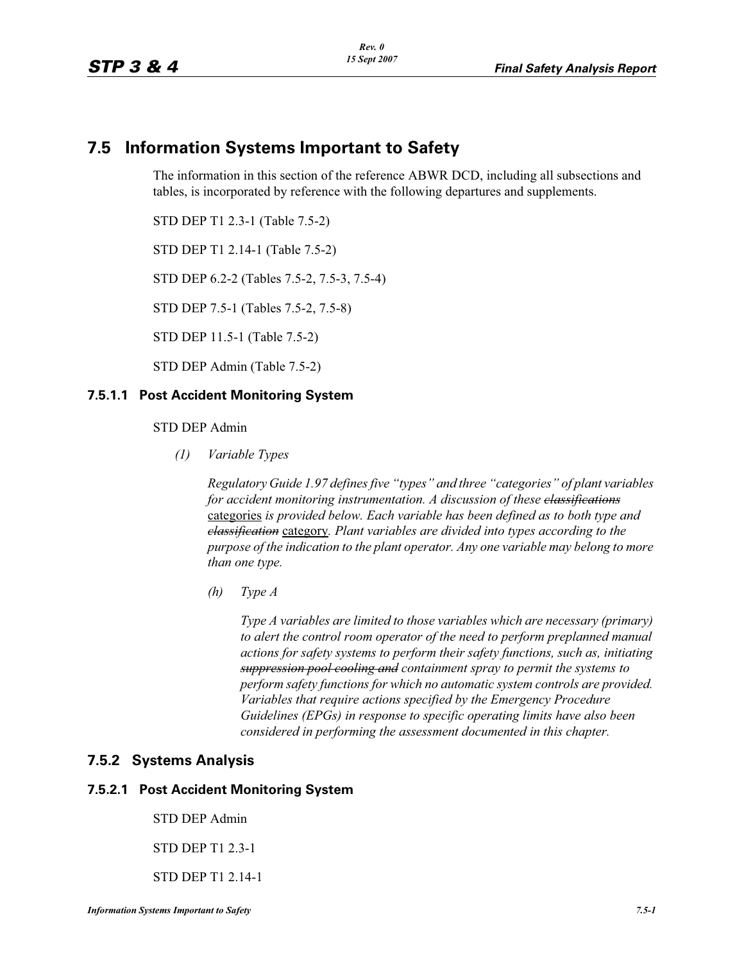# **7.5 Information Systems Important to Safety**

The information in this section of the reference ABWR DCD, including all subsections and tables, is incorporated by reference with the following departures and supplements.

STD DEP T1 2.3-1 (Table 7.5-2)

STD DEP T1 2.14-1 (Table 7.5-2)

STD DEP 6.2-2 (Tables 7.5-2, 7.5-3, 7.5-4)

STD DEP 7.5-1 (Tables 7.5-2, 7.5-8)

STD DEP 11.5-1 (Table 7.5-2)

STD DEP Admin (Table 7.5-2)

### **7.5.1.1 Post Accident Monitoring System**

### STD DEP Admin

*(1) Variable Types*

*Regulatory Guide 1.97 defines five "types" and three "categories" of plant variables for accident monitoring instrumentation. A discussion of these classifications* categories *is provided below. Each variable has been defined as to both type and classification* category*. Plant variables are divided into types according to the purpose of the indication to the plant operator. Any one variable may belong to more than one type.*

*(h) Type A*

*Type A variables are limited to those variables which are necessary (primary) to alert the control room operator of the need to perform preplanned manual actions for safety systems to perform their safety functions, such as, initiating suppression pool cooling and containment spray to permit the systems to perform safety functions for which no automatic system controls are provided. Variables that require actions specified by the Emergency Procedure Guidelines (EPGs) in response to specific operating limits have also been considered in performing the assessment documented in this chapter.*

### **7.5.2 Systems Analysis**

### **7.5.2.1 Post Accident Monitoring System**

STD DEP Admin

STD DEP T1 2.3-1

STD DEP T1 2.14-1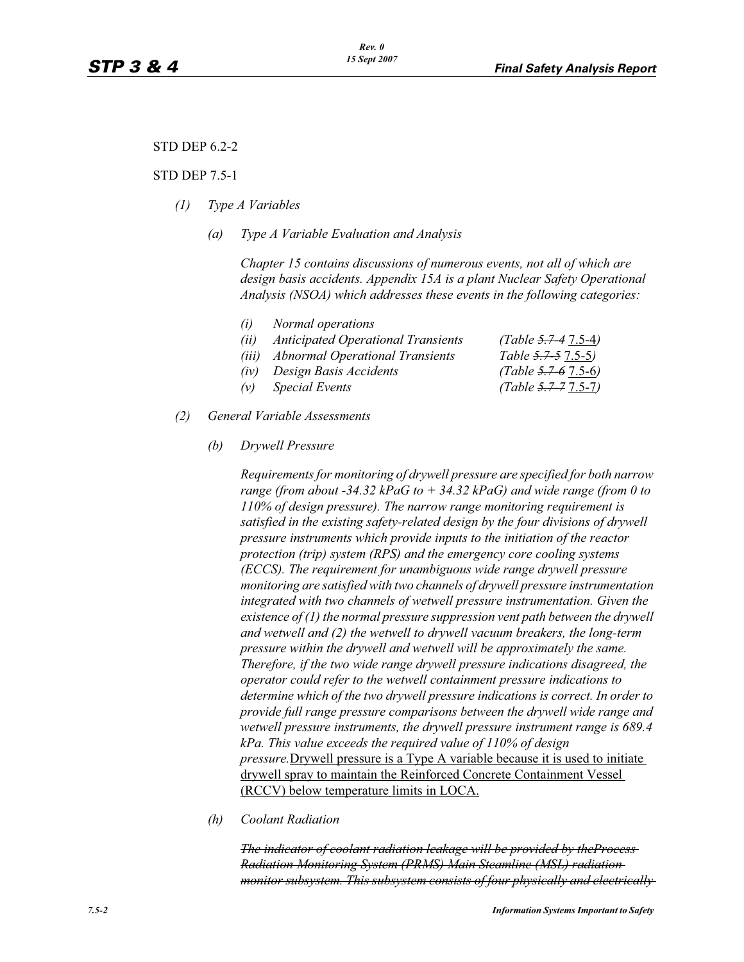## STD DEP 6.2-2

#### STD DEP 7.5-1

- *(1) Type A Variables*
	- *(a) Type A Variable Evaluation and Analysis*

*Chapter 15 contains discussions of numerous events, not all of which are design basis accidents. Appendix 15A is a plant Nuclear Safety Operational Analysis (NSOA) which addresses these events in the following categories:*

| (i) | Normal operations                      |
|-----|----------------------------------------|
|     | (ii) Anticipated Operational Transieni |

*(ii) Anticipated Operational Transients (Table 5.7-4* 7.5-4*) (iii) Abnormal Operational Transients Table 5.7-5* 7.5-5*)*

- *(iv) Design Basis Accidents (Table 5.7-6* 7.5-6*)*
- *(v) Special Events (Table 5.7-7* 7.5-7*)*
- *(2) General Variable Assessments*
	- *(b) Drywell Pressure*

*Requirements for monitoring of drywell pressure are specified for both narrow range (from about -34.32 kPaG to + 34.32 kPaG) and wide range (from 0 to 110% of design pressure). The narrow range monitoring requirement is satisfied in the existing safety-related design by the four divisions of drywell pressure instruments which provide inputs to the initiation of the reactor protection (trip) system (RPS) and the emergency core cooling systems (ECCS). The requirement for unambiguous wide range drywell pressure monitoring are satisfied with two channels of drywell pressure instrumentation integrated with two channels of wetwell pressure instrumentation. Given the existence of (1) the normal pressure suppression vent path between the drywell and wetwell and (2) the wetwell to drywell vacuum breakers, the long-term pressure within the drywell and wetwell will be approximately the same. Therefore, if the two wide range drywell pressure indications disagreed, the operator could refer to the wetwell containment pressure indications to determine which of the two drywell pressure indications is correct. In order to provide full range pressure comparisons between the drywell wide range and wetwell pressure instruments, the drywell pressure instrument range is 689.4 kPa. This value exceeds the required value of 110% of design pressure.*Drywell pressure is a Type A variable because it is used to initiate drywell spray to maintain the Reinforced Concrete Containment Vessel (RCCV) below temperature limits in LOCA.

*(h) Coolant Radiation* 

*The indicator of coolant radiation leakage will be provided by theProcess Radiation Monitoring System (PRMS) Main Steamline (MSL) radiation monitor subsystem. This subsystem consists of four physically and electrically*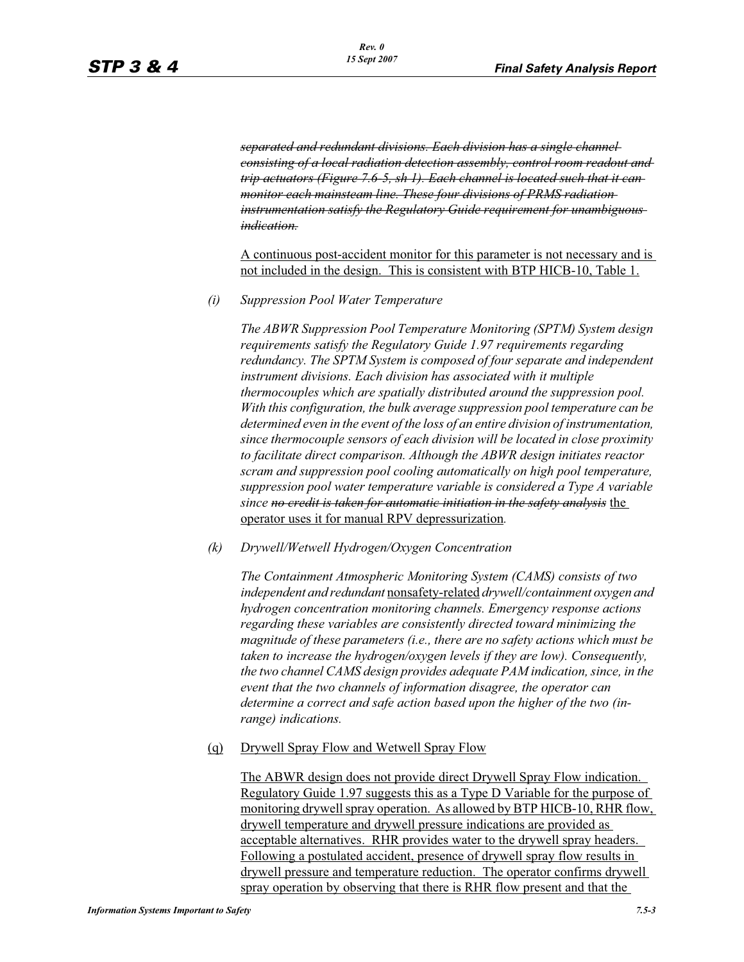*separated and redundant divisions. Each division has a single channel consisting of a local radiation detection assembly, control room readout and trip actuators (Figure 7.6-5, sh 1). Each channel is located such that it can monitor each mainsteam line. These four divisions of PRMS radiation instrumentation satisfy the Regulatory Guide requirement for unambiguous indication.*

A continuous post-accident monitor for this parameter is not necessary and is not included in the design. This is consistent with BTP HICB-10, Table 1.

*(i) Suppression Pool Water Temperature*

*The ABWR Suppression Pool Temperature Monitoring (SPTM) System design requirements satisfy the Regulatory Guide 1.97 requirements regarding redundancy. The SPTM System is composed of four separate and independent instrument divisions. Each division has associated with it multiple thermocouples which are spatially distributed around the suppression pool. With this configuration, the bulk average suppression pool temperature can be determined even in the event of the loss of an entire division of instrumentation, since thermocouple sensors of each division will be located in close proximity to facilitate direct comparison. Although the ABWR design initiates reactor scram and suppression pool cooling automatically on high pool temperature, suppression pool water temperature variable is considered a Type A variable since no credit is taken for automatic initiation in the safety analysis* the operator uses it for manual RPV depressurization*.*

*(k) Drywell/Wetwell Hydrogen/Oxygen Concentration*

*The Containment Atmospheric Monitoring System (CAMS) consists of two independent and redundant* nonsafety-related *drywell/containment oxygen and hydrogen concentration monitoring channels. Emergency response actions regarding these variables are consistently directed toward minimizing the magnitude of these parameters (i.e., there are no safety actions which must be taken to increase the hydrogen/oxygen levels if they are low). Consequently, the two channel CAMS design provides adequate PAM indication, since, in the event that the two channels of information disagree, the operator can determine a correct and safe action based upon the higher of the two (inrange) indications.*

(q) Drywell Spray Flow and Wetwell Spray Flow

The ABWR design does not provide direct Drywell Spray Flow indication. Regulatory Guide 1.97 suggests this as a Type D Variable for the purpose of monitoring drywell spray operation. As allowed by BTP HICB-10, RHR flow, drywell temperature and drywell pressure indications are provided as acceptable alternatives. RHR provides water to the drywell spray headers. Following a postulated accident, presence of drywell spray flow results in drywell pressure and temperature reduction. The operator confirms drywell spray operation by observing that there is RHR flow present and that the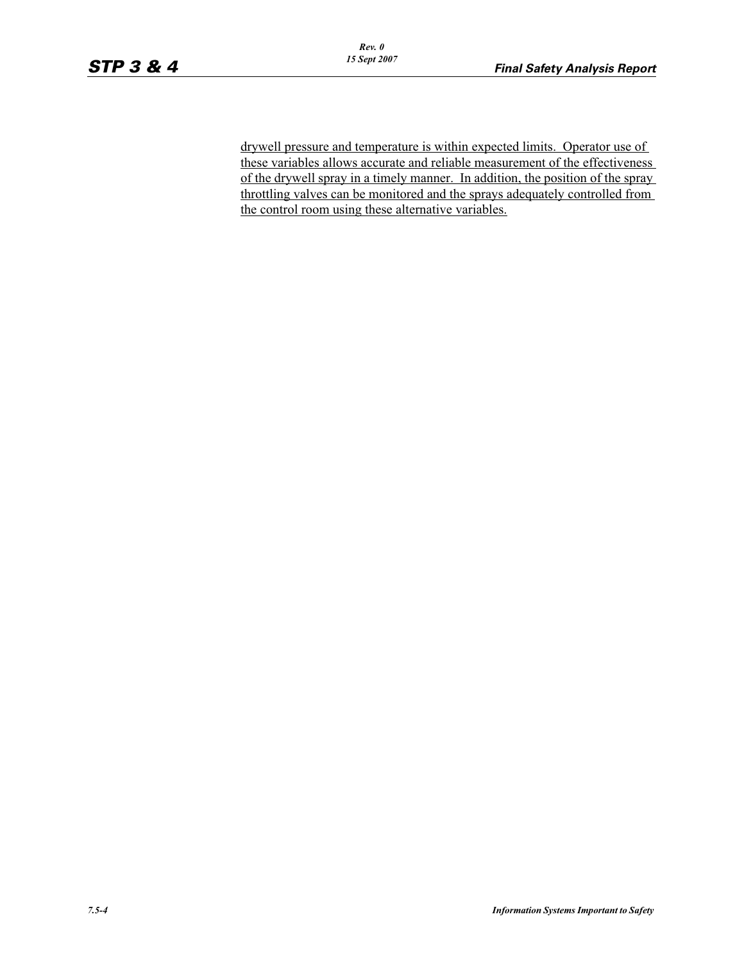drywell pressure and temperature is within expected limits. Operator use of these variables allows accurate and reliable measurement of the effectiveness of the drywell spray in a timely manner. In addition, the position of the spray throttling valves can be monitored and the sprays adequately controlled from the control room using these alternative variables.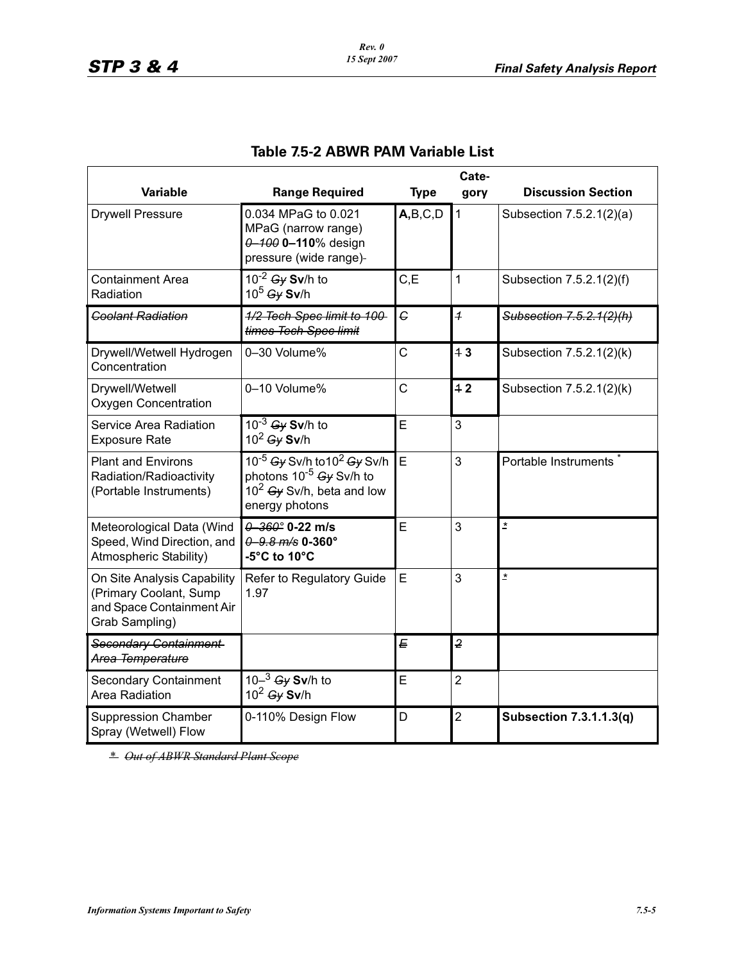|                                                                                                      | Cate-                                                                                                                                            |             |                |                                |
|------------------------------------------------------------------------------------------------------|--------------------------------------------------------------------------------------------------------------------------------------------------|-------------|----------------|--------------------------------|
| <b>Variable</b>                                                                                      | <b>Range Required</b>                                                                                                                            | <b>Type</b> | gory           | <b>Discussion Section</b>      |
| <b>Drywell Pressure</b>                                                                              | 0.034 MPaG to 0.021<br>MPaG (narrow range)<br>$0 - 100$ 0-110% design<br>pressure (wide range)-                                                  | A,B,C,D     | $\mathbf{1}$   | Subsection 7.5.2.1(2)(a)       |
| <b>Containment Area</b><br>Radiation                                                                 | $10^{-2}$ Gy Sv/h to<br>$10^5$ Gy Sv/h                                                                                                           | C, E        | 1              | Subsection 7.5.2.1(2)(f)       |
| <b>Coolant Radiation</b>                                                                             | 1/2 Tech Spec limit to 100-<br>times Tech Spec limit                                                                                             | $\epsilon$  | $\overline{1}$ | Subsection 7.5.2.1(2)(h)       |
| Drywell/Wetwell Hydrogen<br>Concentration                                                            | 0-30 Volume%                                                                                                                                     | C           | 43             | Subsection 7.5.2.1(2)(k)       |
| Drywell/Wetwell<br><b>Oxygen Concentration</b>                                                       | 0-10 Volume%                                                                                                                                     | C           | 42             | Subsection 7.5.2.1(2)(k)       |
| Service Area Radiation<br><b>Exposure Rate</b>                                                       | $10^{-3}$ Gy Sv/h to<br>$10^2$ Gy Sv/h                                                                                                           | E           | 3              |                                |
| <b>Plant and Environs</b><br>Radiation/Radioactivity<br>(Portable Instruments)                       | $10^{-5}$ Gy Sv/h to 10 <sup>2</sup> Gy Sv/h<br>photons 10 <sup>-5</sup> <del>Gy</del> Sv/h to<br>$10^2$ Gy Sv/h, beta and low<br>energy photons | E           | 3              | Portable Instruments           |
| Meteorological Data (Wind<br>Speed, Wind Direction, and<br>Atmospheric Stability)                    | $0 - 360$ ° 0-22 m/s<br>$0.8 \, m/s$ 0-360°<br>-5°C to 10°C                                                                                      | E           | 3              | $\pmb{\star}$                  |
| On Site Analysis Capability<br>(Primary Coolant, Sump<br>and Space Containment Air<br>Grab Sampling) | Refer to Regulatory Guide<br>1.97                                                                                                                | E           | 3              | $\pmb{\star}$                  |
| Secondary Containment<br>Area Temperature                                                            |                                                                                                                                                  | E           | $\overline{2}$ |                                |
| <b>Secondary Containment</b><br>Area Radiation                                                       | 10 $-$ <sup>3</sup> <del>Gy</del> Sv/h to<br>$10^2$ Gy Sv/h                                                                                      | E           | $\overline{2}$ |                                |
| <b>Suppression Chamber</b><br>Spray (Wetwell) Flow                                                   | 0-110% Design Flow                                                                                                                               | D           | $\overline{2}$ | <b>Subsection 7.3.1.1.3(q)</b> |

# **Table 7.5-2 ABWR PAM Variable List**

*\* Out of ABWR Standard Plant Scope*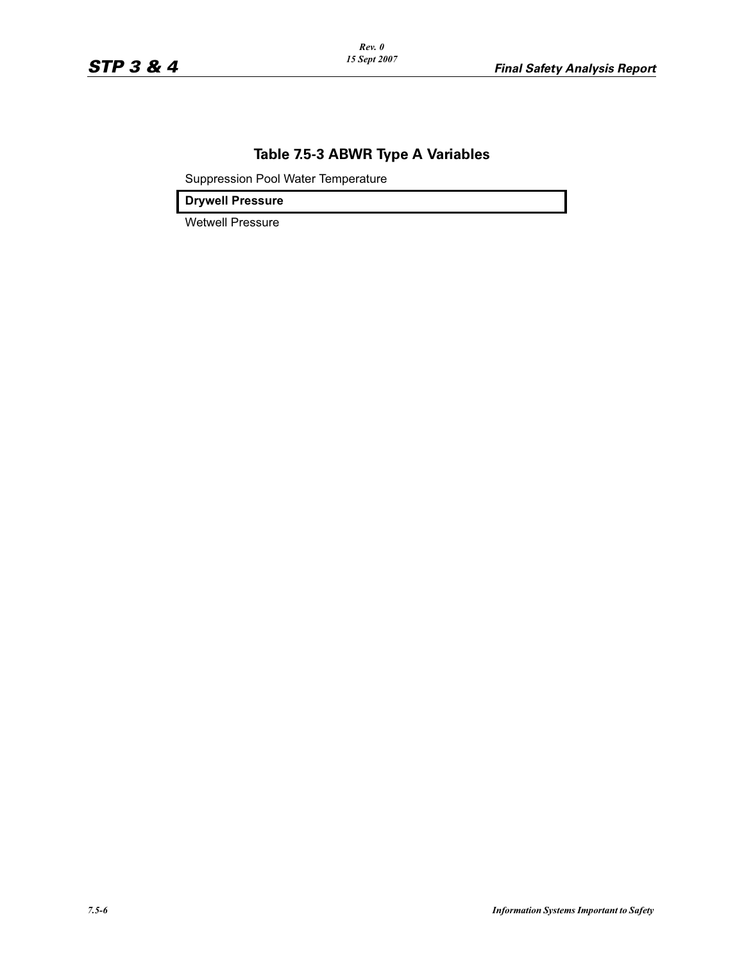# **Table 7.5-3 ABWR Type A Variables**

Suppression Pool Water Temperature

**Drywell Pressure**

Wetwell Pressure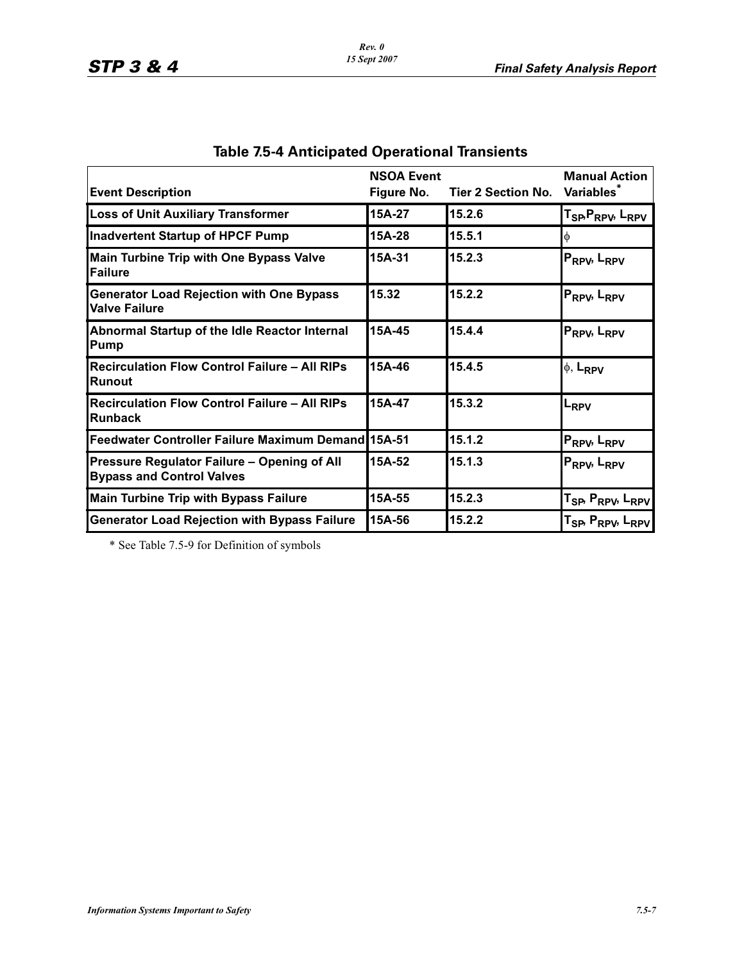| <b>Event Description</b>                                                        | <b>NSOA Event</b><br>Figure No. | Tier 2 Section No. Variables <sup>*</sup> | <b>Manual Action</b>                                  |
|---------------------------------------------------------------------------------|---------------------------------|-------------------------------------------|-------------------------------------------------------|
| <b>Loss of Unit Auxiliary Transformer</b>                                       | 15A-27                          | 15.2.6                                    | T <sub>SP</sub> , P <sub>RPV</sub> , L <sub>RPV</sub> |
| <b>Inadvertent Startup of HPCF Pump</b>                                         | 15A-28                          | 15.5.1                                    |                                                       |
| <b>Main Turbine Trip with One Bypass Valve</b><br>Failure                       | 15A-31                          | 15.2.3                                    | P <sub>RPV</sub> , L <sub>RPV</sub>                   |
| <b>Generator Load Rejection with One Bypass</b><br><b>Valve Failure</b>         | 15.32                           | 15.2.2                                    | P <sub>RPV</sub> , L <sub>RPV</sub>                   |
| Abnormal Startup of the Idle Reactor Internal<br>Pump                           | 15A-45                          | 15.4.4                                    | P <sub>RPV</sub> , L <sub>RPV</sub>                   |
| <b>Recirculation Flow Control Failure - All RIPs</b><br>Runout                  | 15A-46                          | 15.4.5                                    | $\phi$ , L <sub>RPV</sub>                             |
| <b>Recirculation Flow Control Failure - All RIPs</b><br>Runback                 | 15A-47                          | 15.3.2                                    | LRPV                                                  |
| <b>Feedwater Controller Failure Maximum Demand 15A-51</b>                       |                                 | 15.1.2                                    | P <sub>RPV</sub> , L <sub>RPV</sub>                   |
| Pressure Regulator Failure – Opening of All<br><b>Bypass and Control Valves</b> | 15A-52                          | 15.1.3                                    | P <sub>RPV</sub> , L <sub>RPV</sub>                   |
| <b>Main Turbine Trip with Bypass Failure</b>                                    | 15A-55                          | 15.2.3                                    | T <sub>SP</sub> , P <sub>RPV</sub> , L <sub>RPV</sub> |
| <b>Generator Load Rejection with Bypass Failure</b>                             | 15A-56                          | 15.2.2                                    | T <sub>SP</sub> , P <sub>RPV</sub> , L <sub>RPV</sub> |

|  |  |  | <b>Table 7.5-4 Anticipated Operational Transients</b> |  |
|--|--|--|-------------------------------------------------------|--|
|  |  |  |                                                       |  |

\* See Table 7.5-9 for Definition of symbols